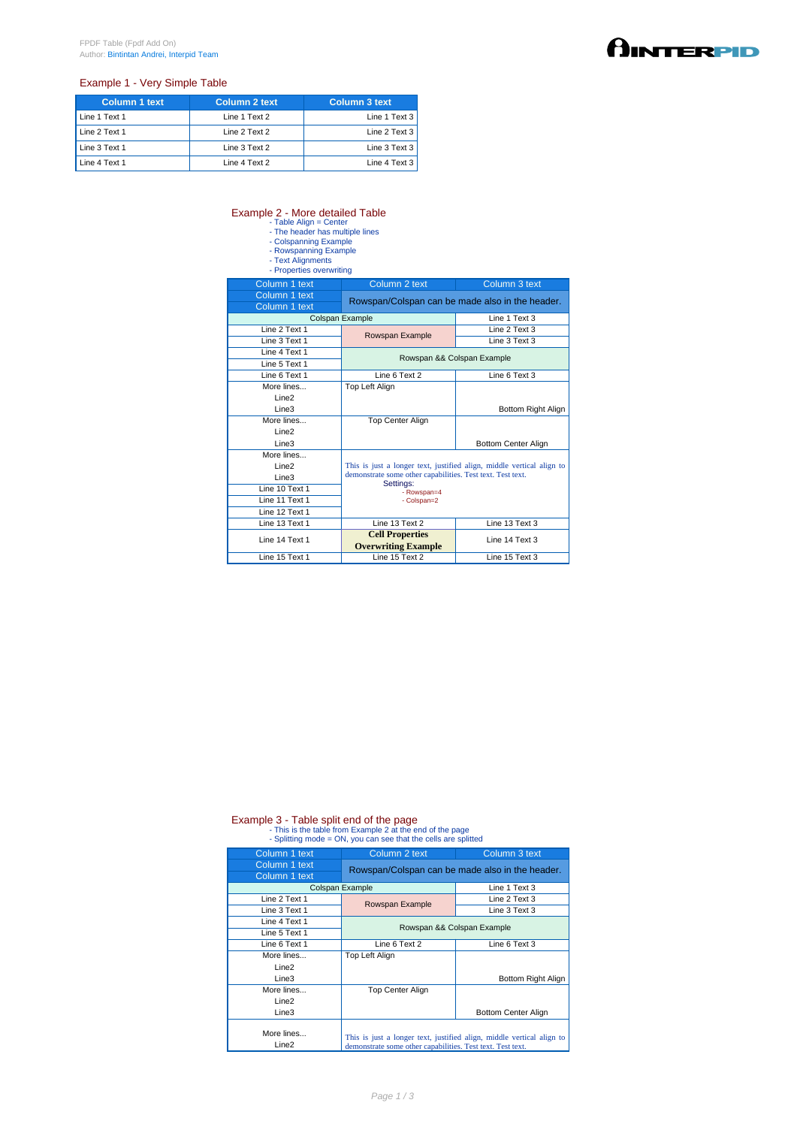## Example 1 - Very Simple Table

| <b>Column 1 text</b> | Column 2 text | Column 3 text |
|----------------------|---------------|---------------|
| Line 1 Text 1        | Line 1 Text 2 | Line 1 Text 3 |
| Line 2 Text 1        | Line 2 Text 2 | Line 2 Text 3 |
| Line 3 Text 1        | Line 3 Text 2 | Line 3 Text 3 |
| Line 4 Text 1        | Line 4 Text 2 | Line 4 Text 3 |

## Example 2 - More detailed Table<br>
- Table Align = Center<br>
- The header has multiple lines<br>
- Colspanning Example<br>
- Rowspanning Example<br>
- Text Alignments<br>
- Properties overwriting

- 
- 
- 
- 

| Column 1 text     | Column 2 text                                                                                                                                    | Column 3 text              |  |
|-------------------|--------------------------------------------------------------------------------------------------------------------------------------------------|----------------------------|--|
| Column 1 text     | Rowspan/Colspan can be made also in the header.                                                                                                  |                            |  |
| Column 1 text     |                                                                                                                                                  |                            |  |
|                   | Colspan Example                                                                                                                                  | Line 1 Text 3              |  |
| Line 2 Text 1     | Rowspan Example                                                                                                                                  | Line 2 Text 3              |  |
| Line 3 Text 1     |                                                                                                                                                  | Line 3 Text 3              |  |
| Line 4 Text 1     | Rowspan && Colspan Example                                                                                                                       |                            |  |
| Line 5 Text 1     |                                                                                                                                                  |                            |  |
| Line 6 Text 1     | Line 6 Text 2                                                                                                                                    | Line 6 Text 3              |  |
| More lines        | Top Left Align                                                                                                                                   |                            |  |
| Line <sub>2</sub> |                                                                                                                                                  |                            |  |
| Line <sub>3</sub> |                                                                                                                                                  | Bottom Right Align         |  |
| More lines        | <b>Top Center Align</b>                                                                                                                          |                            |  |
| Line <sub>2</sub> |                                                                                                                                                  |                            |  |
| Line3             |                                                                                                                                                  | <b>Bottom Center Align</b> |  |
| More lines        |                                                                                                                                                  |                            |  |
| Line <sub>2</sub> | This is just a longer text, justified align, middle vertical align to<br>demonstrate some other capabilities. Test text. Test text.<br>Settings: |                            |  |
| Line <sub>3</sub> |                                                                                                                                                  |                            |  |
| Line 10 Text 1    | - Rowspan=4                                                                                                                                      |                            |  |
| Line 11 Text 1    | - Colspan=2                                                                                                                                      |                            |  |
| Line 12 Text 1    |                                                                                                                                                  |                            |  |
| Line 13 Text 1    | Line 13 Text 2                                                                                                                                   | Line 13 Text 3             |  |
| Line 14 Text 1    | <b>Cell Properties</b>                                                                                                                           | Line 14 Text 3             |  |
|                   | <b>Overwriting Example</b>                                                                                                                       |                            |  |
| Line 15 Text 1    | Line 15 Text 2                                                                                                                                   | Line 15 Text 3             |  |

## Example 3 - Table split end of the page<br>- This is the table from Example 2 at the end of the page<br>- Splitting mode = ON, you can see that the cells are splitted

| Column 1 text                   | Column 2 text                                              | Column 3 text                                                         |
|---------------------------------|------------------------------------------------------------|-----------------------------------------------------------------------|
| Column 1 text<br>Column 1 text  |                                                            | Rowspan/Colspan can be made also in the header.                       |
| Colspan Example                 |                                                            | Line 1 Text 3                                                         |
| Line 2 Text 1                   | Rowspan Example                                            | Line 2 Text 3                                                         |
| Line 3 Text 1                   |                                                            | Line 3 Text 3                                                         |
| Line 4 Text 1                   |                                                            | Rowspan && Colspan Example                                            |
| Line 5 Text 1                   |                                                            |                                                                       |
| Line 6 Text 1                   | Line 6 Text 2                                              | Line 6 Text 3                                                         |
| More lines                      | Top Left Align                                             |                                                                       |
| Line <sub>2</sub>               |                                                            |                                                                       |
| Line <sub>3</sub>               |                                                            | Bottom Right Align                                                    |
| More lines                      | <b>Top Center Align</b>                                    |                                                                       |
| Line <sub>2</sub>               |                                                            |                                                                       |
| Line <sub>3</sub>               |                                                            | Bottom Center Align                                                   |
| More lines<br>Line <sub>2</sub> | demonstrate some other capabilities. Test text. Test text. | This is just a longer text, justified align, middle vertical align to |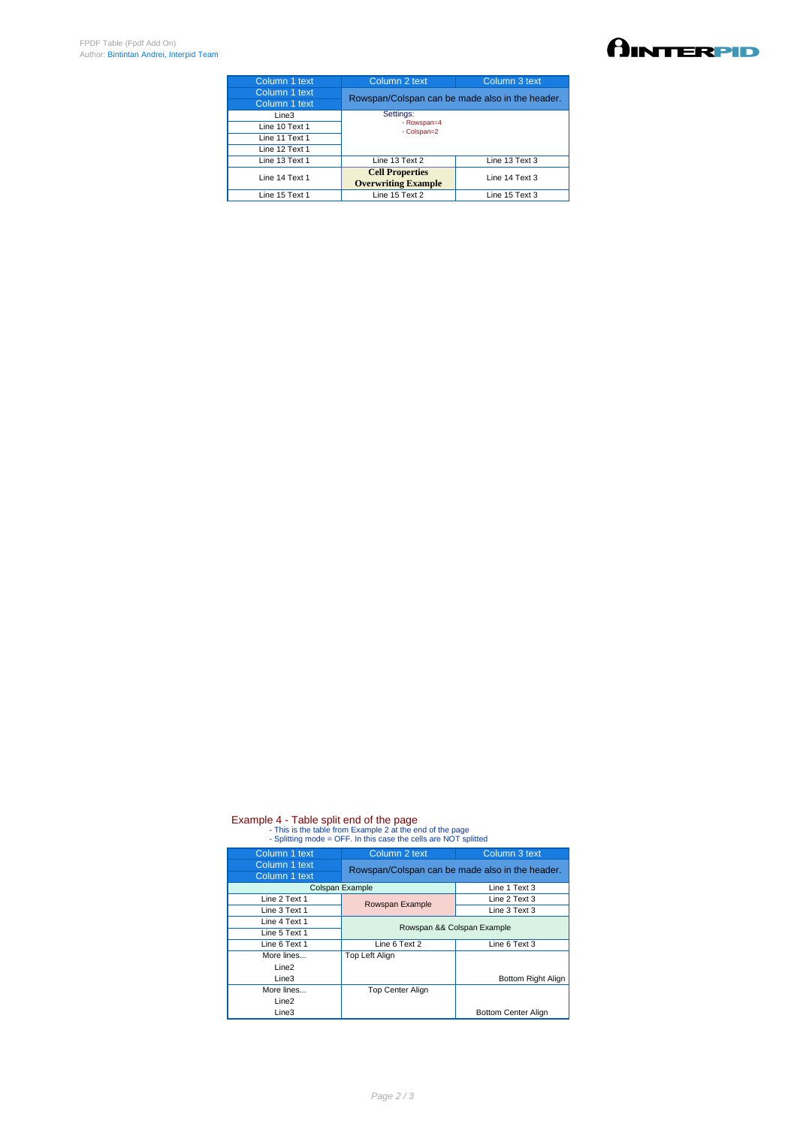| Column 1 text  | Column 2 text                                        | Column 3 text  |
|----------------|------------------------------------------------------|----------------|
| Column 1 text  | Rowspan/Colspan can be made also in the header.      |                |
| Column 1 text  |                                                      |                |
| Line3          | Settings:                                            |                |
| Line 10 Text 1 | - Rowspan=4<br>- Colspan=2                           |                |
| Line 11 Text 1 |                                                      |                |
| Line 12 Text 1 |                                                      |                |
| Line 13 Text 1 | Line 13 Text 2                                       | Line 13 Text 3 |
| Line 14 Text 1 | <b>Cell Properties</b><br><b>Overwriting Example</b> | Line 14 Text 3 |
| Line 15 Text 1 | Line 15 Text 2                                       | Line 15 Text 3 |
|                |                                                      |                |

## Example 4 - Table split end of the page<br>- This is the table from Example 2 at the end of the page<br>- Splitting mode = OFF. In this case the cells are NOT splitted

| Column 1 text     | Column 2 text                                   | Column 3 text              |
|-------------------|-------------------------------------------------|----------------------------|
| Column 1 text     | Rowspan/Colspan can be made also in the header. |                            |
| Column 1 text     |                                                 |                            |
| Colspan Example   |                                                 | Line 1 Text 3              |
| Line 2 Text 1     | Rowspan Example                                 | Line 2 Text 3              |
| Line 3 Text 1     |                                                 | Line 3 Text 3              |
| Line 4 Text 1     | Rowspan && Colspan Example                      |                            |
| Line 5 Text 1     |                                                 |                            |
| Line 6 Text 1     | Line 6 Text 2                                   | Line 6 Text 3              |
| More lines        | Top Left Align                                  |                            |
| Line <sub>2</sub> |                                                 |                            |
| Line <sub>3</sub> |                                                 | Bottom Right Align         |
| More lines        | <b>Top Center Align</b>                         |                            |
| Line <sub>2</sub> |                                                 |                            |
| Line3             |                                                 | <b>Bottom Center Align</b> |